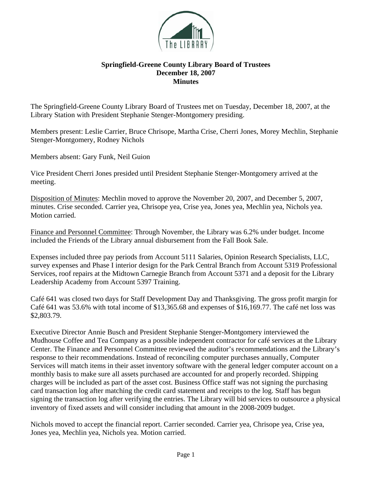

## **Springfield-Greene County Library Board of Trustees December 18, 2007 Minutes**

The Springfield-Greene County Library Board of Trustees met on Tuesday, December 18, 2007, at the Library Station with President Stephanie Stenger-Montgomery presiding.

Members present: Leslie Carrier, Bruce Chrisope, Martha Crise, Cherri Jones, Morey Mechlin, Stephanie Stenger-Montgomery, Rodney Nichols

Members absent: Gary Funk, Neil Guion

Vice President Cherri Jones presided until President Stephanie Stenger-Montgomery arrived at the meeting.

Disposition of Minutes: Mechlin moved to approve the November 20, 2007, and December 5, 2007, minutes. Crise seconded. Carrier yea, Chrisope yea, Crise yea, Jones yea, Mechlin yea, Nichols yea. Motion carried.

Finance and Personnel Committee: Through November, the Library was 6.2% under budget. Income included the Friends of the Library annual disbursement from the Fall Book Sale.

Expenses included three pay periods from Account 5111 Salaries, Opinion Research Specialists, LLC, survey expenses and Phase I interior design for the Park Central Branch from Account 5319 Professional Services, roof repairs at the Midtown Carnegie Branch from Account 5371 and a deposit for the Library Leadership Academy from Account 5397 Training.

Café 641 was closed two days for Staff Development Day and Thanksgiving. The gross profit margin for Café 641 was 53.6% with total income of \$13,365.68 and expenses of \$16,169.77. The café net loss was \$2,803.79.

Executive Director Annie Busch and President Stephanie Stenger-Montgomery interviewed the Mudhouse Coffee and Tea Company as a possible independent contractor for café services at the Library Center. The Finance and Personnel Committee reviewed the auditor's recommendations and the Library's response to their recommendations. Instead of reconciling computer purchases annually, Computer Services will match items in their asset inventory software with the general ledger computer account on a monthly basis to make sure all assets purchased are accounted for and properly recorded. Shipping charges will be included as part of the asset cost. Business Office staff was not signing the purchasing card transaction log after matching the credit card statement and receipts to the log. Staff has begun signing the transaction log after verifying the entries. The Library will bid services to outsource a physical inventory of fixed assets and will consider including that amount in the 2008-2009 budget.

Nichols moved to accept the financial report. Carrier seconded. Carrier yea, Chrisope yea, Crise yea, Jones yea, Mechlin yea, Nichols yea. Motion carried.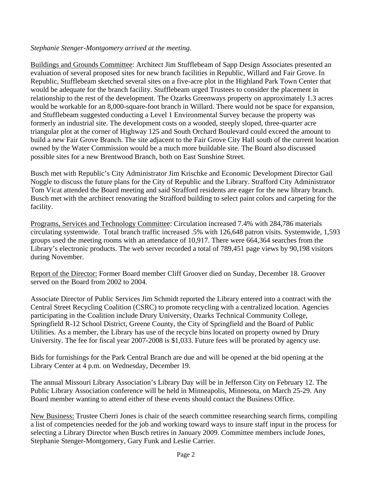## *Stephanie Stenger-Montgomery arrived at the meeting.*

Buildings and Grounds Committee: Architect Jim Stufflebeam of Sapp Design Associates presented an evaluation of several proposed sites for new branch facilities in Republic, Willard and Fair Grove. In Republic, Stufflebeam sketched several sites on a five-acre plot in the Highland Park Town Center that would be adequate for the branch facility. Stufflebeam urged Trustees to consider the placement in relationship to the rest of the development. The Ozarks Greenways property on approximately 1.3 acres would be workable for an 8,000-square-foot branch in Willard. There would not be space for expansion, and Stufflebeam suggested conducting a Level 1 Environmental Survey because the property was formerly an industrial site. The development costs on a wooded, steeply sloped, three-quarter acre triangular plot at the corner of Highway 125 and South Orchard Boulevard could exceed the amount to build a new Fair Grove Branch. The site adjacent to the Fair Grove City Hall south of the current location owned by the Water Commission would be a much more buildable site. The Board also discussed possible sites for a new Brentwood Branch, both on East Sunshine Street.

Busch met with Republic's City Administrator Jim Krischke and Economic Development Director Gail Noggle to discuss the future plans for the City of Republic and the Library. Strafford City Administrator Tom Vicat attended the Board meeting and said Strafford residents are eager for the new library branch. Busch met with the architect renovating the Strafford building to select paint colors and carpeting for the facility.

Programs, Services and Technology Committee: Circulation increased 7.4% with 284,786 materials circulating systemwide. Total branch traffic increased .5% with 126,648 patron visits. Systemwide, 1,593 groups used the meeting rooms with an attendance of 10,917. There were 664,364 searches from the Library's electronic products. The web server recorded a total of 789,451 page views by 90,198 visitors during November.

Report of the Director: Former Board member Cliff Groover died on Sunday, December 18. Groover served on the Board from 2002 to 2004.

Associate Director of Public Services Jim Schmidt reported the Library entered into a contract with the Central Street Recycling Coalition (CSRC) to promote recycling with a centralized location. Agencies participating in the Coalition include Drury University, Ozarks Technical Community College, Springfield R-12 School District, Greene County, the City of Springfield and the Board of Public Utilities. As a member, the Library has use of the recycle bins located on property owned by Drury University. The fee for fiscal year 2007-2008 is \$1,033. Future fees will be prorated by agency use.

Bids for furnishings for the Park Central Branch are due and will be opened at the bid opening at the Library Center at 4 p.m. on Wednesday, December 19.

The annual Missouri Library Association's Library Day will be in Jefferson City on February 12. The Public Library Association conference will be held in Minneapolis, Minnesota, on March 25-29. Any Board member wanting to attend either of these events should contact the Business Office.

New Business: Trustee Cherri Jones is chair of the search committee researching search firms, compiling a list of competencies needed for the job and working toward ways to insure staff input in the process for selecting a Library Director when Busch retires in January 2009. Committee members include Jones, Stephanie Stenger-Montgomery, Gary Funk and Leslie Carrier.